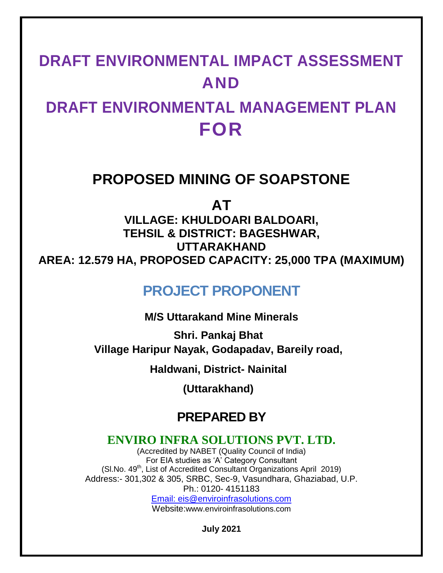# **DRAFT ENVIRONMENTAL IMPACT ASSESSMENT AND**

# **DRAFT ENVIRONMENTAL MANAGEMENT PLAN FOR**

# **PROPOSED MINING OF SOAPSTONE**

**AT**

**VILLAGE: KHULDOARI BALDOARI, TEHSIL & DISTRICT: BAGESHWAR, UTTARAKHAND AREA: 12.579 HA, PROPOSED CAPACITY: 25,000 TPA (MAXIMUM)**

# **PROJECT PROPONENT**

**M/S Uttarakand Mine Minerals**

**Shri. Pankaj Bhat Village Haripur Nayak, Godapadav, Bareily road,** 

**Haldwani, District- Nainital**

**(Uttarakhand)**

# **PREPARED BY**

# **ENVIRO INFRA SOLUTIONS PVT. LTD.**

(Accredited by NABET (Quality Council of India) For EIA studies as 'A' Category Consultant (Sl.No. 49<sup>th</sup>, List of Accredited Consultant Organizations April 2019) Address:- 301,302 & 305, SRBC, Sec-9, Vasundhara, Ghaziabad, U.P. Ph.: 0120- 4151183 Email: eis@enviroinfrasolutions.com

Website:www.enviroinfrasolutions.com

**July 2021**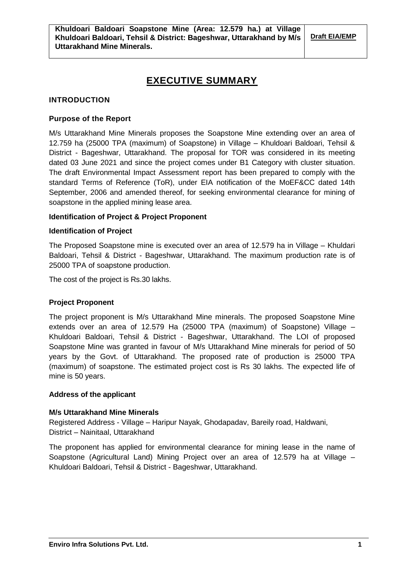# **EXECUTIVE SUMMARY**

# **INTRODUCTION**

# **Purpose of the Report**

M/s Uttarakhand Mine Minerals proposes the Soapstone Mine extending over an area of 12.759 ha (25000 TPA (maximum) of Soapstone) in Village – Khuldoari Baldoari, Tehsil & District - Bageshwar, Uttarakhand. The proposal for TOR was considered in its meeting dated 03 June 2021 and since the project comes under B1 Category with cluster situation. The draft Environmental Impact Assessment report has been prepared to comply with the standard Terms of Reference (ToR), under EIA notification of the MoEF&CC dated 14th September, 2006 and amended thereof, for seeking environmental clearance for mining of soapstone in the applied mining lease area.

# **Identification of Project & Project Proponent**

# **Identification of Project**

The Proposed Soapstone mine is executed over an area of 12.579 ha in Village – Khuldari Baldoari, Tehsil & District - Bageshwar, Uttarakhand. The maximum production rate is of 25000 TPA of soapstone production.

The cost of the project is Rs.30 lakhs.

# **Project Proponent**

The project proponent is M/s Uttarakhand Mine minerals. The proposed Soapstone Mine extends over an area of 12.579 Ha (25000 TPA (maximum) of Soapstone) Village – Khuldoari Baldoari, Tehsil & District - Bageshwar, Uttarakhand. The LOI of proposed Soapstone Mine was granted in favour of M/s Uttarakhand Mine minerals for period of 50 years by the Govt. of Uttarakhand. The proposed rate of production is 25000 TPA (maximum) of soapstone. The estimated project cost is Rs 30 lakhs. The expected life of mine is 50 years.

# **Address of the applicant**

# **M/s Uttarakhand Mine Minerals**

Registered Address - Village – Haripur Nayak, Ghodapadav, Bareily road, Haldwani, District – Nainitaal, Uttarakhand

The proponent has applied for environmental clearance for mining lease in the name of Soapstone (Agricultural Land) Mining Project over an area of 12.579 ha at Village – Khuldoari Baldoari, Tehsil & District - Bageshwar, Uttarakhand.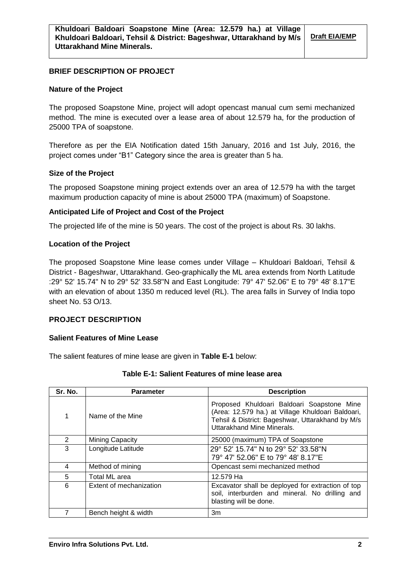### **BRIEF DESCRIPTION OF PROJECT**

#### **Nature of the Project**

The proposed Soapstone Mine, project will adopt opencast manual cum semi mechanized method. The mine is executed over a lease area of about 12.579 ha, for the production of 25000 TPA of soapstone.

Therefore as per the EIA Notification dated 15th January, 2016 and 1st July, 2016, the project comes under "B1" Category since the area is greater than 5 ha.

#### **Size of the Project**

The proposed Soapstone mining project extends over an area of 12.579 ha with the target maximum production capacity of mine is about 25000 TPA (maximum) of Soapstone.

#### **Anticipated Life of Project and Cost of the Project**

The projected life of the mine is 50 years. The cost of the project is about Rs. 30 lakhs.

#### **Location of the Project**

The proposed Soapstone Mine lease comes under Village – Khuldoari Baldoari, Tehsil & District - Bageshwar, Uttarakhand. Geo-graphically the ML area extends from North Latitude :29° 52' 15.74" N to 29° 52' 33.58"N and East Longitude: 79° 47' 52.06" E to 79° 48' 8.17"E with an elevation of about 1350 m reduced level (RL). The area falls in Survey of India topo sheet No. 53 O/13.

#### **PROJECT DESCRIPTION**

#### **Salient Features of Mine Lease**

The salient features of mine lease are given in **Table E-1** below:

| Sr. No.       | <b>Parameter</b>        | <b>Description</b>                                                                                                                                                                |
|---------------|-------------------------|-----------------------------------------------------------------------------------------------------------------------------------------------------------------------------------|
| 1             | Name of the Mine        | Proposed Khuldoari Baldoari Soapstone Mine<br>(Area: 12.579 ha.) at Village Khuldoari Baldoari,<br>Tehsil & District: Bageshwar, Uttarakhand by M/s<br>Uttarakhand Mine Minerals. |
| $\mathcal{P}$ | <b>Mining Capacity</b>  | 25000 (maximum) TPA of Soapstone                                                                                                                                                  |
| 3             | Longitude Latitude      | 29° 52' 15.74" N to 29° 52' 33.58"N<br>79° 47' 52.06" E to 79° 48' 8.17"E                                                                                                         |
| 4             | Method of mining        | Opencast semi mechanized method                                                                                                                                                   |
| 5             | Total ML area           | 12.579 Ha                                                                                                                                                                         |
| 6             | Extent of mechanization | Excavator shall be deployed for extraction of top<br>soil, interburden and mineral. No drilling and<br>blasting will be done.                                                     |
|               | Bench height & width    | 3m                                                                                                                                                                                |

#### **Table E-1: Salient Features of mine lease area**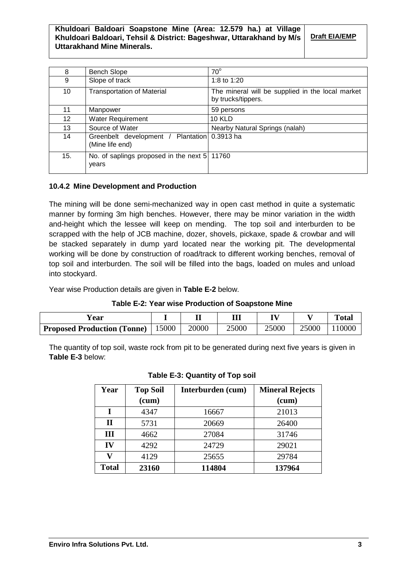# **Khuldoari Baldoari Soapstone Mine (Area: 12.579 ha.) at Village Khuldoari Baldoari, Tehsil & District: Bageshwar, Uttarakhand by M/s Uttarakhand Mine Minerals.**

**Draft EIA/EMP**

| 8               | <b>Bench Slope</b>                                              | $70^\circ$                                                             |
|-----------------|-----------------------------------------------------------------|------------------------------------------------------------------------|
| 9               | Slope of track                                                  | 1:8 to 1:20                                                            |
| 10              | <b>Transportation of Material</b>                               | The mineral will be supplied in the local market<br>by trucks/tippers. |
| 11              | Manpower                                                        | 59 persons                                                             |
| 12 <sup>2</sup> | Water Requirement                                               | <b>10 KLD</b>                                                          |
| 13              | Source of Water                                                 | Nearby Natural Springs (nalah)                                         |
| 14              | Greenbelt development / Plantation 0.3913 ha<br>(Mine life end) |                                                                        |
| 15.             | No. of saplings proposed in the next 5 11760<br>years           |                                                                        |

# **10.4.2 Mine Development and Production**

The mining will be done semi-mechanized way in open cast method in quite a systematic manner by forming 3m high benches. However, there may be minor variation in the width and-height which the lessee will keep on mending. The top soil and interburden to be scrapped with the help of JCB machine, dozer, shovels, pickaxe, spade & crowbar and will be stacked separately in dump yard located near the working pit. The developmental working will be done by construction of road/track to different working benches, removal of top soil and interburden. The soil will be filled into the bags, loaded on mules and unload into stockyard.

Year wise Production details are given in **Table E-2** below.

| Table E-2: Year wise Production of Soapstone Mine |  |  |
|---------------------------------------------------|--|--|
|---------------------------------------------------|--|--|

| r ear                              |       |       | Ш     | TV)   |       | <b>Total</b> |
|------------------------------------|-------|-------|-------|-------|-------|--------------|
| <b>Proposed Production (Tonne)</b> | 15000 | 20000 | 25000 | 25000 | 25000 | 10000        |

The quantity of top soil, waste rock from pit to be generated during next five years is given in **Table E-3** below:

| Year         | <b>Top Soil</b><br>(cum) | Interburden (cum) | <b>Mineral Rejects</b><br>(cum) |
|--------------|--------------------------|-------------------|---------------------------------|
| T            | 4347                     | 16667             | 21013                           |
| П            | 5731                     | 20669             | 26400                           |
| Ш            | 4662                     | 27084             | 31746                           |
| IV           | 4292                     | 24729             | 29021                           |
| V            | 4129                     | 25655             | 29784                           |
| <b>Total</b> | 23160                    | 114804            | 137964                          |

**Table E-3: Quantity of Top soil**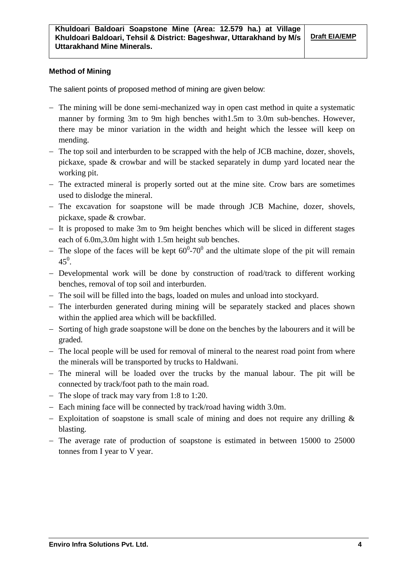# **Method of Mining**

The salient points of proposed method of mining are given below:

- The mining will be done semi-mechanized way in open cast method in quite a systematic manner by forming 3m to 9m high benches with1.5m to 3.0m sub-benches. However, there may be minor variation in the width and height which the lessee will keep on mending.
- The top soil and interburden to be scrapped with the help of JCB machine, dozer, shovels, pickaxe, spade & crowbar and will be stacked separately in dump yard located near the working pit.
- The extracted mineral is properly sorted out at the mine site. Crow bars are sometimes used to dislodge the mineral.
- The excavation for soapstone will be made through JCB Machine, dozer, shovels, pickaxe, spade & crowbar.
- It is proposed to make 3m to 9m height benches which will be sliced in different stages each of 6.0m,3.0m hight with 1.5m height sub benches.
- The slope of the faces will be kept  $60^{\circ}$ -70<sup>°</sup> and the ultimate slope of the pit will remain  $45^0$ .
- Developmental work will be done by construction of road/track to different working benches, removal of top soil and interburden.
- The soil will be filled into the bags, loaded on mules and unload into stockyard.
- The interburden generated during mining will be separately stacked and places shown within the applied area which will be backfilled.
- Sorting of high grade soapstone will be done on the benches by the labourers and it will be graded.
- The local people will be used for removal of mineral to the nearest road point from where the minerals will be transported by trucks to Haldwani.
- The mineral will be loaded over the trucks by the manual labour. The pit will be connected by track/foot path to the main road.
- The slope of track may vary from 1:8 to 1:20.
- Each mining face will be connected by track/road having width 3.0m.
- Exploitation of soapstone is small scale of mining and does not require any drilling  $\&$ blasting.
- The average rate of production of soapstone is estimated in between 15000 to 25000 tonnes from I year to V year.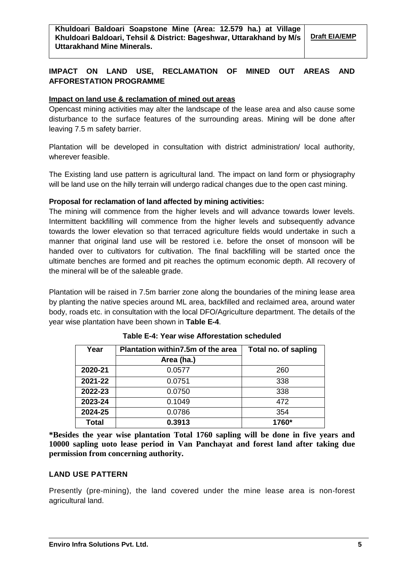# **IMPACT ON LAND USE, RECLAMATION OF MINED OUT AREAS AND AFFORESTATION PROGRAMME**

# **Impact on land use & reclamation of mined out areas**

Opencast mining activities may alter the landscape of the lease area and also cause some disturbance to the surface features of the surrounding areas. Mining will be done after leaving 7.5 m safety barrier.

Plantation will be developed in consultation with district administration/ local authority, wherever feasible.

The Existing land use pattern is agricultural land. The impact on land form or physiography will be land use on the hilly terrain will undergo radical changes due to the open cast mining.

# **Proposal for reclamation of land affected by mining activities:**

The mining will commence from the higher levels and will advance towards lower levels. Intermittent backfilling will commence from the higher levels and subsequently advance towards the lower elevation so that terraced agriculture fields would undertake in such a manner that original land use will be restored i.e. before the onset of monsoon will be handed over to cultivators for cultivation. The final backfilling will be started once the ultimate benches are formed and pit reaches the optimum economic depth. All recovery of the mineral will be of the saleable grade.

Plantation will be raised in 7.5m barrier zone along the boundaries of the mining lease area by planting the native species around ML area, backfilled and reclaimed area, around water body, roads etc. in consultation with the local DFO/Agriculture department. The details of the year wise plantation have been shown in **Table E-4**.

| Year         | Plantation within 7.5m of the area | Total no. of sapling |
|--------------|------------------------------------|----------------------|
|              | Area (ha.)                         |                      |
| 2020-21      | 0.0577                             | 260                  |
| 2021-22      | 0.0751                             | 338                  |
| 2022-23      | 0.0750                             | 338                  |
| 2023-24      | 0.1049                             | 472                  |
| 2024-25      | 0.0786                             | 354                  |
| <b>Total</b> | 0.3913                             | 1760*                |

**Table E-4: Year wise Afforestation scheduled**

**\*Besides the year wise plantation Total 1760 sapling will be done in five years and 10000 sapling uoto lease period in Van Panchayat and forest land after taking due permission from concerning authority.**

# **LAND USE PATTERN**

Presently (pre-mining), the land covered under the mine lease area is non-forest agricultural land.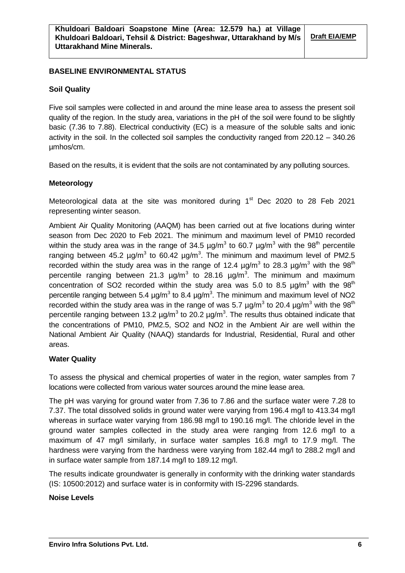# **BASELINE ENVIRONMENTAL STATUS**

#### **Soil Quality**

Five soil samples were collected in and around the mine lease area to assess the present soil quality of the region. In the study area, variations in the pH of the soil were found to be slightly basic (7.36 to 7.88). Electrical conductivity (EC) is a measure of the soluble salts and ionic activity in the soil. In the collected soil samples the conductivity ranged from 220.12 – 340.26 µmhos/cm.

Based on the results, it is evident that the soils are not contaminated by any polluting sources.

#### **Meteorology**

Meteorological data at the site was monitored during  $1<sup>st</sup>$  Dec 2020 to 28 Feb 2021 representing winter season.

Ambient Air Quality Monitoring (AAQM) has been carried out at five locations during winter season from Dec 2020 to Feb 2021. The minimum and maximum level of PM10 recorded within the study area was in the range of 34.5  $\mu$ g/m<sup>3</sup> to 60.7  $\mu$ g/m<sup>3</sup> with the 98<sup>th</sup> percentile ranging between 45.2  $\mu$ g/m<sup>3</sup> to 60.42  $\mu$ g/m<sup>3</sup>. The minimum and maximum level of PM2.5 recorded within the study area was in the range of 12.4  $\mu$ g/m<sup>3</sup> to 28.3  $\mu$ g/m<sup>3</sup> with the 98<sup>th</sup> percentile ranging between 21.3  $\mu$ g/m<sup>3</sup> to 28.16  $\mu$ g/m<sup>3</sup>. The minimum and maximum concentration of SO2 recorded within the study area was 5.0 to 8.5  $\mu$ g/m<sup>3</sup> with the 98<sup>th</sup> percentile ranging between 5.4  $\mu$ g/m<sup>3</sup> to 8.4  $\mu$ g/m<sup>3</sup>. The minimum and maximum level of NO2 recorded within the study area was in the range of was 5.7  $\mu$ g/m<sup>3</sup> to 20.4  $\mu$ g/m<sup>3</sup> with the 98<sup>th</sup> percentile ranging between 13.2  $\mu$ g/m<sup>3</sup> to 20.2  $\mu$ g/m<sup>3</sup>. The results thus obtained indicate that the concentrations of PM10, PM2.5, SO2 and NO2 in the Ambient Air are well within the National Ambient Air Quality (NAAQ) standards for Industrial, Residential, Rural and other areas.

#### **Water Quality**

To assess the physical and chemical properties of water in the region, water samples from 7 locations were collected from various water sources around the mine lease area.

The pH was varying for ground water from 7.36 to 7.86 and the surface water were 7.28 to 7.37. The total dissolved solids in ground water were varying from 196.4 mg/l to 413.34 mg/l whereas in surface water varying from 186.98 mg/l to 190.16 mg/l. The chloride level in the ground water samples collected in the study area were ranging from 12.6 mg/l to a maximum of 47 mg/l similarly, in surface water samples 16.8 mg/l to 17.9 mg/l. The hardness were varying from the hardness were varying from 182.44 mg/l to 288.2 mg/l and in surface water sample from 187.14 mg/l to 189.12 mg/l.

The results indicate groundwater is generally in conformity with the drinking water standards (IS: 10500:2012) and surface water is in conformity with IS-2296 standards.

# **Noise Levels**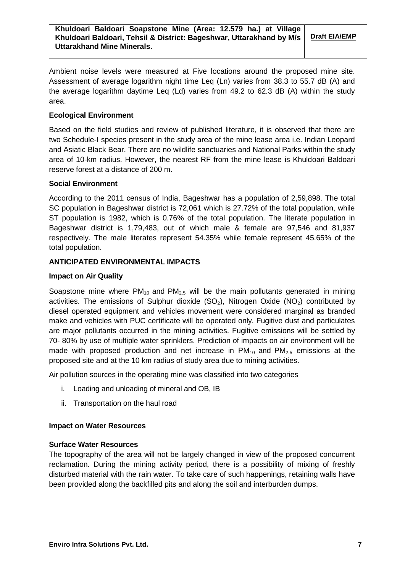Ambient noise levels were measured at Five locations around the proposed mine site. Assessment of average logarithm night time Leq (Ln) varies from 38.3 to 55.7 dB (A) and the average logarithm daytime Leq (Ld) varies from 49.2 to 62.3 dB (A) within the study area.

# **Ecological Environment**

Based on the field studies and review of published literature, it is observed that there are two Schedule-I species present in the study area of the mine lease area i.e. Indian Leopard and Asiatic Black Bear. There are no wildlife sanctuaries and National Parks within the study area of 10-km radius. However, the nearest RF from the mine lease is Khuldoari Baldoari reserve forest at a distance of 200 m.

# **Social Environment**

According to the 2011 census of India, Bageshwar has a population of 2,59,898. The total SC population in Bageshwar district is 72,061 which is 27.72% of the total population, while ST population is 1982, which is 0.76% of the total population. The literate population in Bageshwar district is 1,79,483, out of which male & female are 97,546 and 81,937 respectively. The male literates represent 54.35% while female represent 45.65% of the total population.

# **ANTICIPATED ENVIRONMENTAL IMPACTS**

# **Impact on Air Quality**

Soapstone mine where  $PM_{10}$  and  $PM_{2.5}$  will be the main pollutants generated in mining activities. The emissions of Sulphur dioxide  $(SO<sub>2</sub>)$ , Nitrogen Oxide  $(NO<sub>2</sub>)$  contributed by diesel operated equipment and vehicles movement were considered marginal as branded make and vehicles with PUC certificate will be operated only. Fugitive dust and particulates are major pollutants occurred in the mining activities. Fugitive emissions will be settled by 70- 80% by use of multiple water sprinklers. Prediction of impacts on air environment will be made with proposed production and net increase in  $PM_{10}$  and  $PM_{2.5}$  emissions at the proposed site and at the 10 km radius of study area due to mining activities.

Air pollution sources in the operating mine was classified into two categories

- i. Loading and unloading of mineral and OB, IB
- ii. Transportation on the haul road

# **Impact on Water Resources**

# **Surface Water Resources**

The topography of the area will not be largely changed in view of the proposed concurrent reclamation. During the mining activity period, there is a possibility of mixing of freshly disturbed material with the rain water. To take care of such happenings, retaining walls have been provided along the backfilled pits and along the soil and interburden dumps.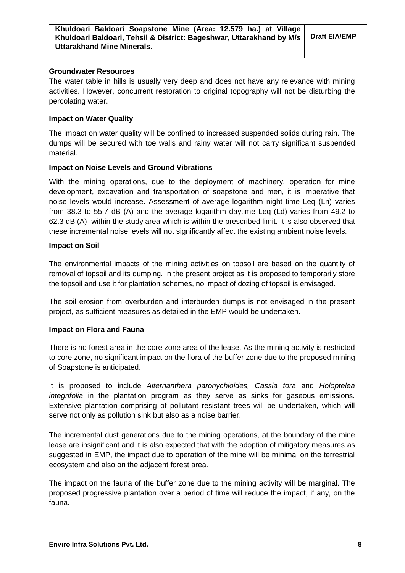#### **Groundwater Resources**

The water table in hills is usually very deep and does not have any relevance with mining activities. However, concurrent restoration to original topography will not be disturbing the percolating water.

# **Impact on Water Quality**

The impact on water quality will be confined to increased suspended solids during rain. The dumps will be secured with toe walls and rainy water will not carry significant suspended material.

# **Impact on Noise Levels and Ground Vibrations**

With the mining operations, due to the deployment of machinery, operation for mine development, excavation and transportation of soapstone and men, it is imperative that noise levels would increase. Assessment of average logarithm night time Leq (Ln) varies from 38.3 to 55.7 dB (A) and the average logarithm daytime Leq (Ld) varies from 49.2 to 62.3 dB (A) within the study area which is within the prescribed limit. It is also observed that these incremental noise levels will not significantly affect the existing ambient noise levels.

# **Impact on Soil**

The environmental impacts of the mining activities on topsoil are based on the quantity of removal of topsoil and its dumping. In the present project as it is proposed to temporarily store the topsoil and use it for plantation schemes, no impact of dozing of topsoil is envisaged.

The soil erosion from overburden and interburden dumps is not envisaged in the present project, as sufficient measures as detailed in the EMP would be undertaken.

# **Impact on Flora and Fauna**

There is no forest area in the core zone area of the lease. As the mining activity is restricted to core zone, no significant impact on the flora of the buffer zone due to the proposed mining of Soapstone is anticipated.

It is proposed to include *Alternanthera paronychioides, Cassia tora* and *Holoptelea integrifolia* in the plantation program as they serve as sinks for gaseous emissions. Extensive plantation comprising of pollutant resistant trees will be undertaken, which will serve not only as pollution sink but also as a noise barrier.

The incremental dust generations due to the mining operations, at the boundary of the mine lease are insignificant and it is also expected that with the adoption of mitigatory measures as suggested in EMP, the impact due to operation of the mine will be minimal on the terrestrial ecosystem and also on the adjacent forest area.

The impact on the fauna of the buffer zone due to the mining activity will be marginal. The proposed progressive plantation over a period of time will reduce the impact, if any, on the fauna.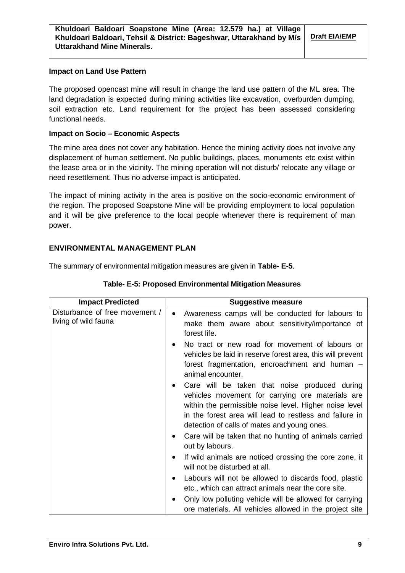#### **Impact on Land Use Pattern**

The proposed opencast mine will result in change the land use pattern of the ML area. The land degradation is expected during mining activities like excavation, overburden dumping, soil extraction etc. Land requirement for the project has been assessed considering functional needs.

### **Impact on Socio – Economic Aspects**

The mine area does not cover any habitation. Hence the mining activity does not involve any displacement of human settlement. No public buildings, places, monuments etc exist within the lease area or in the vicinity. The mining operation will not disturb/ relocate any village or need resettlement. Thus no adverse impact is anticipated.

The impact of mining activity in the area is positive on the socio-economic environment of the region. The proposed Soapstone Mine will be providing employment to local population and it will be give preference to the local people whenever there is requirement of man power.

# **ENVIRONMENTAL MANAGEMENT PLAN**

The summary of environmental mitigation measures are given in **Table- E-5**.

| <b>Impact Predicted</b>                                | <b>Suggestive measure</b>                                                                                                                                                                                                                                                                                                                                   |
|--------------------------------------------------------|-------------------------------------------------------------------------------------------------------------------------------------------------------------------------------------------------------------------------------------------------------------------------------------------------------------------------------------------------------------|
| Disturbance of free movement /<br>living of wild fauna | Awareness camps will be conducted for labours to<br>$\bullet$<br>make them aware about sensitivity/importance of<br>forest life.                                                                                                                                                                                                                            |
|                                                        | No tract or new road for movement of labours or<br>$\bullet$<br>vehicles be laid in reserve forest area, this will prevent<br>forest fragmentation, encroachment and human -<br>animal encounter.                                                                                                                                                           |
|                                                        | Care will be taken that noise produced during<br>٠<br>vehicles movement for carrying ore materials are<br>within the permissible noise level. Higher noise level<br>in the forest area will lead to restless and failure in<br>detection of calls of mates and young ones.<br>Care will be taken that no hunting of animals carried<br>٠<br>out by labours. |
|                                                        | If wild animals are noticed crossing the core zone, it<br>$\bullet$<br>will not be disturbed at all.                                                                                                                                                                                                                                                        |
|                                                        | Labours will not be allowed to discards food, plastic<br>٠<br>etc., which can attract animals near the core site.                                                                                                                                                                                                                                           |
|                                                        | Only low polluting vehicle will be allowed for carrying<br>٠<br>ore materials. All vehicles allowed in the project site                                                                                                                                                                                                                                     |

**Table- E-5: Proposed Environmental Mitigation Measures**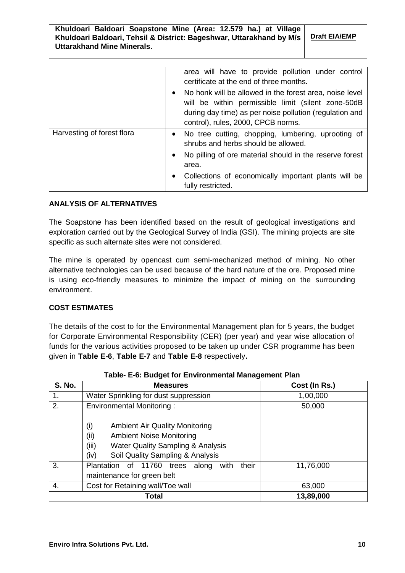# **Khuldoari Baldoari Soapstone Mine (Area: 12.579 ha.) at Village Khuldoari Baldoari, Tehsil & District: Bageshwar, Uttarakhand by M/s Uttarakhand Mine Minerals.**

**Draft EIA/EMP**

|                            | area will have to provide pollution under control<br>certificate at the end of three months.<br>No honk will be allowed in the forest area, noise level<br>$\bullet$<br>will be within permissible limit (silent zone-50dB<br>during day time) as per noise pollution (regulation and<br>control), rules, 2000, CPCB norms. |
|----------------------------|-----------------------------------------------------------------------------------------------------------------------------------------------------------------------------------------------------------------------------------------------------------------------------------------------------------------------------|
| Harvesting of forest flora | • No tree cutting, chopping, lumbering, uprooting of<br>shrubs and herbs should be allowed.<br>No pilling of ore material should in the reserve forest<br>$\bullet$<br>area.<br>Collections of economically important plants will be<br>$\bullet$<br>fully restricted.                                                      |

# **ANALYSIS OF ALTERNATIVES**

The Soapstone has been identified based on the result of geological investigations and exploration carried out by the Geological Survey of India (GSI). The mining projects are site specific as such alternate sites were not considered.

The mine is operated by opencast cum semi-mechanized method of mining. No other alternative technologies can be used because of the hard nature of the ore. Proposed mine is using eco-friendly measures to minimize the impact of mining on the surrounding environment.

# **COST ESTIMATES**

The details of the cost to for the Environmental Management plan for 5 years, the budget for Corporate Environmental Responsibility (CER) (per year) and year wise allocation of funds for the various activities proposed to be taken up under CSR programme has been given in **Table E-6**, **Table E-7** and **Table E-8** respectively**.**

| <b>S. No.</b> | <b>Measures</b>                                                                                                                                                                              | Cost (In Rs.) |
|---------------|----------------------------------------------------------------------------------------------------------------------------------------------------------------------------------------------|---------------|
| 1.            | Water Sprinkling for dust suppression                                                                                                                                                        | 1,00,000      |
| 2.            | <b>Environmental Monitoring:</b>                                                                                                                                                             | 50,000        |
|               | (i)<br><b>Ambient Air Quality Monitoring</b><br>(ii)<br><b>Ambient Noise Monitoring</b><br>(iii)<br><b>Water Quality Sampling &amp; Analysis</b><br>(iv)<br>Soil Quality Sampling & Analysis |               |
| 3.            | their<br>11760<br>Plantation<br>trees<br>along<br>with<br>of .<br>maintenance for green belt                                                                                                 | 11,76,000     |
| 4.            | Cost for Retaining wall/Toe wall                                                                                                                                                             | 63,000        |
|               | 13,89,000                                                                                                                                                                                    |               |

**Table- E-6: Budget for Environmental Management Plan**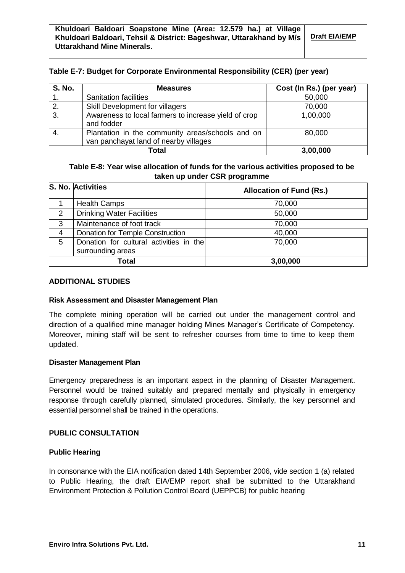# **Table E-7: Budget for Corporate Environmental Responsibility (CER) (per year)**

| <b>S. No.</b> | <b>Measures</b>                                                                           | Cost (In Rs.) (per year) |
|---------------|-------------------------------------------------------------------------------------------|--------------------------|
|               | <b>Sanitation facilities</b>                                                              | 50,000                   |
| $\mathbf{2}$  | Skill Development for villagers                                                           | 70,000                   |
| 3.            | Awareness to local farmers to increase yield of crop<br>and fodder                        | 1,00,000                 |
|               | Plantation in the community areas/schools and on<br>van panchayat land of nearby villages | 80,000                   |
|               | Total                                                                                     | 3,00,000                 |

**Table E-8: Year wise allocation of funds for the various activities proposed to be taken up under CSR programme**

|       | S. No. Activities                                            | <b>Allocation of Fund (Rs.)</b> |
|-------|--------------------------------------------------------------|---------------------------------|
|       | <b>Health Camps</b>                                          | 70,000                          |
| 2     | <b>Drinking Water Facilities</b>                             | 50,000                          |
| 3     | Maintenance of foot track                                    | 70,000                          |
| 4     | Donation for Temple Construction                             | 40,000                          |
| 5     | Donation for cultural activities in the<br>surrounding areas | 70,000                          |
| Total |                                                              | 3,00,000                        |

#### **ADDITIONAL STUDIES**

#### **Risk Assessment and Disaster Management Plan**

The complete mining operation will be carried out under the management control and direction of a qualified mine manager holding Mines Manager's Certificate of Competency. Moreover, mining staff will be sent to refresher courses from time to time to keep them updated.

#### **Disaster Management Plan**

Emergency preparedness is an important aspect in the planning of Disaster Management. Personnel would be trained suitably and prepared mentally and physically in emergency response through carefully planned, simulated procedures. Similarly, the key personnel and essential personnel shall be trained in the operations.

#### **PUBLIC CONSULTATION**

#### **Public Hearing**

In consonance with the EIA notification dated 14th September 2006, vide section 1 (a) related to Public Hearing, the draft EIA/EMP report shall be submitted to the Uttarakhand Environment Protection & Pollution Control Board (UEPPCB) for public hearing